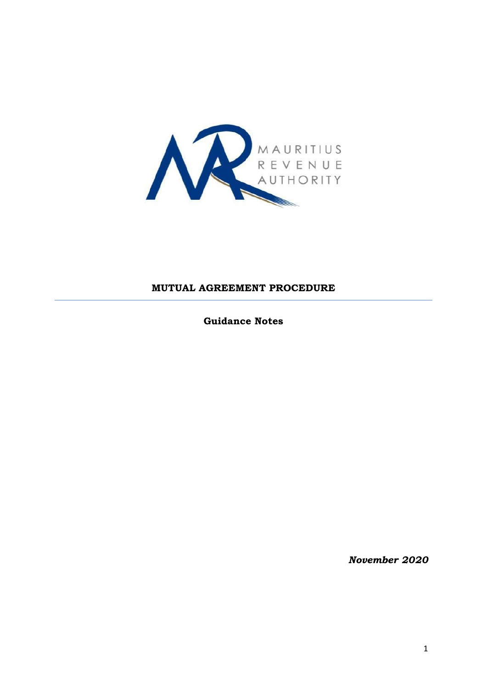

### **MUTUAL AGREEMENT PROCEDURE**

**Guidance Notes**

*November 2020*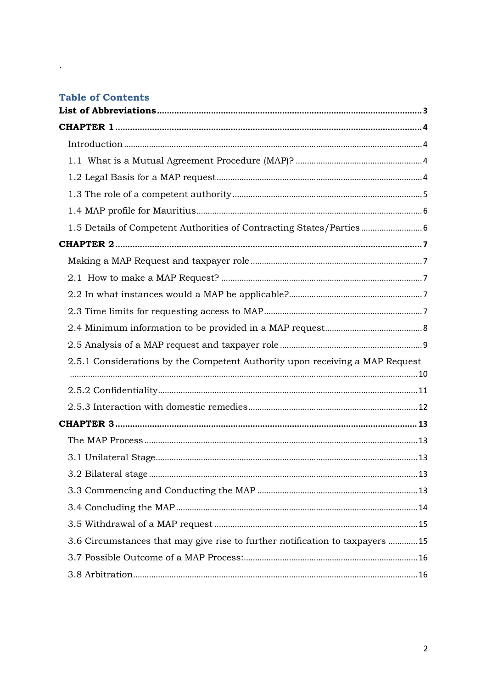## **Table of Contents**

 $\mathcal{L}_{\text{max}}$ 

| 1.5 Details of Competent Authorities of Contracting States/Parties            |  |
|-------------------------------------------------------------------------------|--|
|                                                                               |  |
|                                                                               |  |
|                                                                               |  |
|                                                                               |  |
|                                                                               |  |
|                                                                               |  |
|                                                                               |  |
| 2.5.1 Considerations by the Competent Authority upon receiving a MAP Request  |  |
|                                                                               |  |
|                                                                               |  |
|                                                                               |  |
|                                                                               |  |
|                                                                               |  |
|                                                                               |  |
|                                                                               |  |
|                                                                               |  |
|                                                                               |  |
|                                                                               |  |
| 3.6 Circumstances that may give rise to further notification to taxpayers  15 |  |
|                                                                               |  |
|                                                                               |  |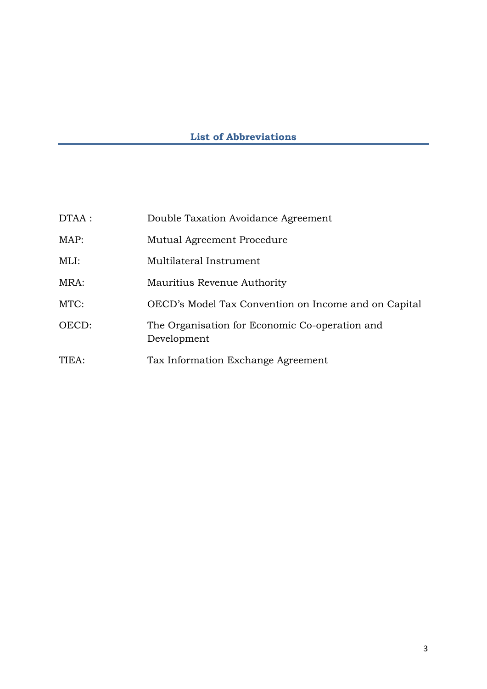# **List of Abbreviations**

<span id="page-2-0"></span>

| DTAA : | Double Taxation Avoidance Agreement                           |
|--------|---------------------------------------------------------------|
| MAP:   | Mutual Agreement Procedure                                    |
| MLI:   | Multilateral Instrument                                       |
| MRA:   | Mauritius Revenue Authority                                   |
| MTC:   | OECD's Model Tax Convention on Income and on Capital          |
| OECD:  | The Organisation for Economic Co-operation and<br>Development |
| TIEA:  | Tax Information Exchange Agreement                            |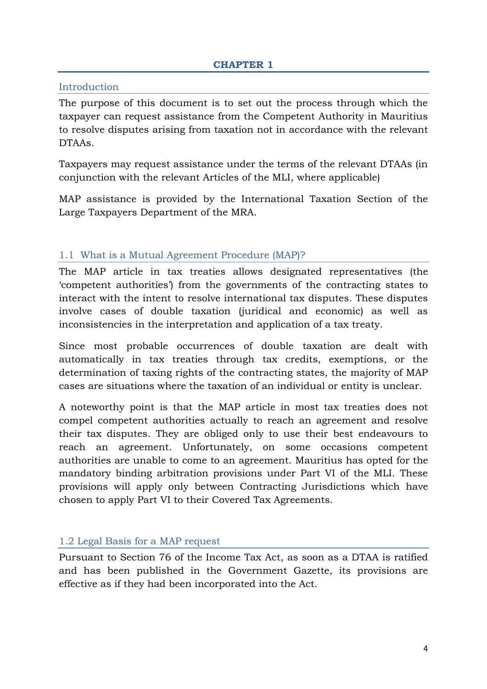#### <span id="page-3-1"></span><span id="page-3-0"></span>Introduction

The purpose of this document is to set out the process through which the taxpayer can request assistance from the Competent Authority in Mauritius to resolve disputes arising from taxation not in accordance with the relevant DTAAs.

Taxpayers may request assistance under the terms of the relevant DTAAs (in conjunction with the relevant Articles of the MLI, where applicable)

MAP assistance is provided by the International Taxation Section of the Large Taxpayers Department of the MRA.

#### <span id="page-3-2"></span>1.1 What is a Mutual Agreement Procedure (MAP)?

The MAP article in tax treaties allows designated representatives (the "competent authorities") from the governments of the contracting states to interact with the intent to resolve international tax disputes. These disputes involve cases of double taxation (juridical and economic) as well as inconsistencies in the interpretation and application of a tax treaty.

Since most probable occurrences of double taxation are dealt with automatically in tax treaties through tax credits, exemptions, or the determination of taxing rights of the contracting states, the majority of MAP cases are situations where the taxation of an individual or entity is unclear.

A noteworthy point is that the MAP article in most tax treaties does not compel competent authorities actually to reach an agreement and resolve their tax disputes. They are obliged only to use their best endeavours to reach an agreement. Unfortunately, on some occasions competent authorities are unable to come to an agreement. Mauritius has opted for the mandatory binding arbitration provisions under Part VI of the MLI. These provisions will apply only between Contracting Jurisdictions which have chosen to apply Part VI to their Covered Tax Agreements.

#### <span id="page-3-3"></span>1.2 Legal Basis for a MAP request

Pursuant to Section 76 of the Income Tax Act, as soon as a DTAA is ratified and has been published in the Government Gazette, its provisions are effective as if they had been incorporated into the Act.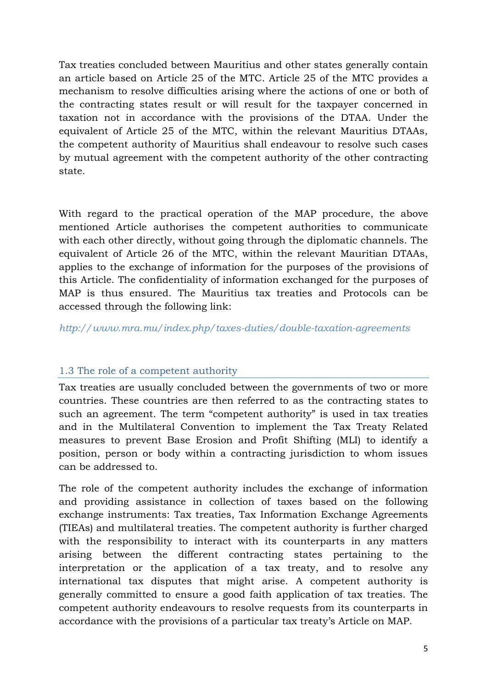Tax treaties concluded between Mauritius and other states generally contain an article based on Article 25 of the MTC. Article 25 of the MTC provides a mechanism to resolve difficulties arising where the actions of one or both of the contracting states result or will result for the taxpayer concerned in taxation not in accordance with the provisions of the DTAA. Under the equivalent of Article 25 of the MTC, within the relevant Mauritius DTAAs, the competent authority of Mauritius shall endeavour to resolve such cases by mutual agreement with the competent authority of the other contracting state.

With regard to the practical operation of the MAP procedure, the above mentioned Article authorises the competent authorities to communicate with each other directly, without going through the diplomatic channels. The equivalent of Article 26 of the MTC, within the relevant Mauritian DTAAs, applies to the exchange of information for the purposes of the provisions of this Article. The confidentiality of information exchanged for the purposes of MAP is thus ensured. The Mauritius tax treaties and Protocols can be accessed through the following link:

*<http://www.mra.mu/index.php/taxes-duties/double-taxation-agreements>*

## <span id="page-4-0"></span>1.3 The role of a competent authority

Tax treaties are usually concluded between the governments of two or more countries. These countries are then referred to as the contracting states to such an agreement. The term "competent authority" is used in tax treaties and in the Multilateral Convention to implement the Tax Treaty Related measures to prevent Base Erosion and Profit Shifting (MLI) to identify a position, person or body within a contracting jurisdiction to whom issues can be addressed to.

The role of the competent authority includes the exchange of information and providing assistance in collection of taxes based on the following exchange instruments: Tax treaties, Tax Information Exchange Agreements (TIEAs) and multilateral treaties. The competent authority is further charged with the responsibility to interact with its counterparts in any matters arising between the different contracting states pertaining to the interpretation or the application of a tax treaty, and to resolve any international tax disputes that might arise. A competent authority is generally committed to ensure a good faith application of tax treaties. The competent authority endeavours to resolve requests from its counterparts in accordance with the provisions of a particular tax treaty"s Article on MAP.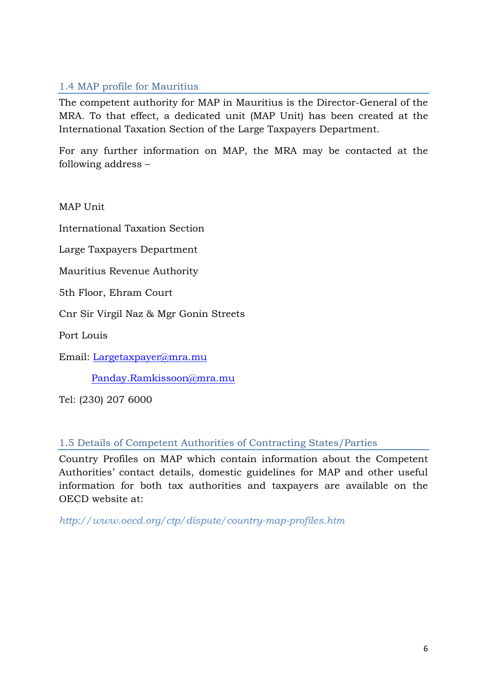## <span id="page-5-0"></span>1.4 MAP profile for Mauritius

The competent authority for MAP in Mauritius is the Director-General of the MRA. To that effect, a dedicated unit (MAP Unit) has been created at the International Taxation Section of the Large Taxpayers Department.

For any further information on MAP, the MRA may be contacted at the following address –

MAP Unit

International Taxation Section

Large Taxpayers Department

Mauritius Revenue Authority

5th Floor, Ehram Court

Cnr Sir Virgil Naz & Mgr Gonin Streets

Port Louis

Email: [Largetaxpayer@mra.mu](mailto:Largetaxpayer@mra.mu)

[Panday.Ramkissoon@mra.mu](mailto:Panday.Ramkissoon@mra.mu)

Tel: (230) 207 6000

<span id="page-5-1"></span>1.5 Details of Competent Authorities of Contracting States/Parties

Country Profiles on MAP which contain information about the Competent Authorities" contact details, domestic guidelines for MAP and other useful information for both tax authorities and taxpayers are available on the OECD website at:

*<http://www.oecd.org/ctp/dispute/country-map-profiles.htm>*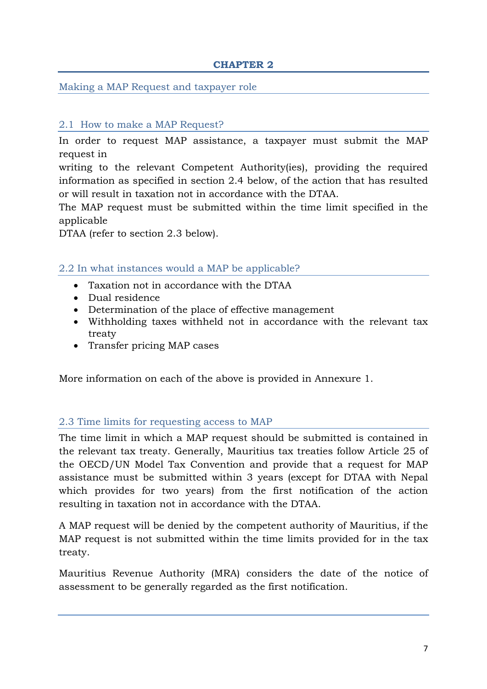### **CHAPTER 2**

### <span id="page-6-1"></span><span id="page-6-0"></span>Making a MAP Request and taxpayer role

### <span id="page-6-2"></span>2.1 How to make a MAP Request?

In order to request MAP assistance, a taxpayer must submit the MAP request in

writing to the relevant Competent Authority(ies), providing the required information as specified in section 2.4 below, of the action that has resulted or will result in taxation not in accordance with the DTAA.

The MAP request must be submitted within the time limit specified in the applicable

DTAA (refer to section 2.3 below).

### <span id="page-6-3"></span>2.2 In what instances would a MAP be applicable?

- Taxation not in accordance with the DTAA
- Dual residence
- Determination of the place of effective management
- Withholding taxes withheld not in accordance with the relevant tax treaty
- Transfer pricing MAP cases

More information on each of the above is provided in Annexure 1.

#### <span id="page-6-4"></span>2.3 Time limits for requesting access to MAP

The time limit in which a MAP request should be submitted is contained in the relevant tax treaty. Generally, Mauritius tax treaties follow Article 25 of the OECD/UN Model Tax Convention and provide that a request for MAP assistance must be submitted within 3 years (except for DTAA with Nepal which provides for two years) from the first notification of the action resulting in taxation not in accordance with the DTAA.

A MAP request will be denied by the competent authority of Mauritius, if the MAP request is not submitted within the time limits provided for in the tax treaty.

Mauritius Revenue Authority (MRA) considers the date of the notice of assessment to be generally regarded as the first notification.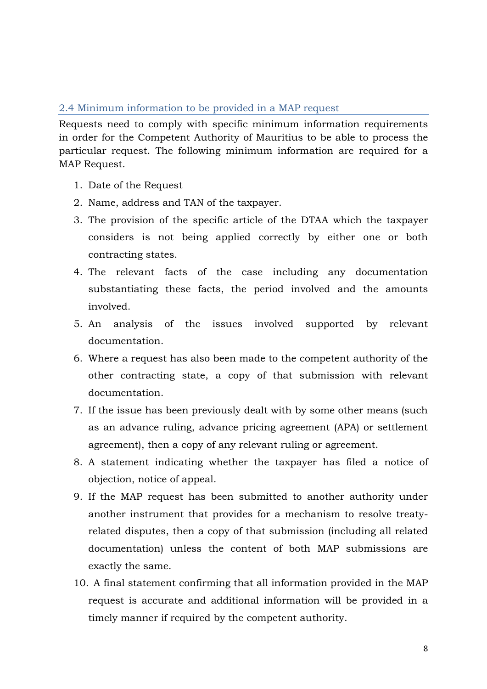#### <span id="page-7-0"></span>2.4 Minimum information to be provided in a MAP request

Requests need to comply with specific minimum information requirements in order for the Competent Authority of Mauritius to be able to process the particular request. The following minimum information are required for a MAP Request.

- 1. Date of the Request
- 2. Name, address and TAN of the taxpayer.
- 3. The provision of the specific article of the DTAA which the taxpayer considers is not being applied correctly by either one or both contracting states.
- 4. The relevant facts of the case including any documentation substantiating these facts, the period involved and the amounts involved.
- 5. An analysis of the issues involved supported by relevant documentation.
- 6. Where a request has also been made to the competent authority of the other contracting state, a copy of that submission with relevant documentation.
- 7. If the issue has been previously dealt with by some other means (such as an advance ruling, advance pricing agreement (APA) or settlement agreement), then a copy of any relevant ruling or agreement.
- 8. A statement indicating whether the taxpayer has filed a notice of objection, notice of appeal.
- 9. If the MAP request has been submitted to another authority under another instrument that provides for a mechanism to resolve treatyrelated disputes, then a copy of that submission (including all related documentation) unless the content of both MAP submissions are exactly the same.
- 10. A final statement confirming that all information provided in the MAP request is accurate and additional information will be provided in a timely manner if required by the competent authority.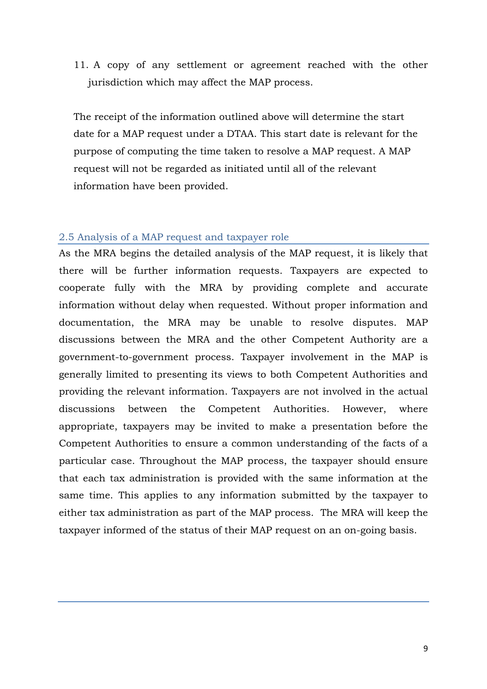11. A copy of any settlement or agreement reached with the other jurisdiction which may affect the MAP process.

The receipt of the information outlined above will determine the start date for a MAP request under a DTAA. This start date is relevant for the purpose of computing the time taken to resolve a MAP request. A MAP request will not be regarded as initiated until all of the relevant information have been provided.

#### <span id="page-8-0"></span>2.5 Analysis of a MAP request and taxpayer role

As the MRA begins the detailed analysis of the MAP request, it is likely that there will be further information requests. Taxpayers are expected to cooperate fully with the MRA by providing complete and accurate information without delay when requested. Without proper information and documentation, the MRA may be unable to resolve disputes. MAP discussions between the MRA and the other Competent Authority are a government-to-government process. Taxpayer involvement in the MAP is generally limited to presenting its views to both Competent Authorities and providing the relevant information. Taxpayers are not involved in the actual discussions between the Competent Authorities. However, where appropriate, taxpayers may be invited to make a presentation before the Competent Authorities to ensure a common understanding of the facts of a particular case. Throughout the MAP process, the taxpayer should ensure that each tax administration is provided with the same information at the same time. This applies to any information submitted by the taxpayer to either tax administration as part of the MAP process. The MRA will keep the taxpayer informed of the status of their MAP request on an on-going basis.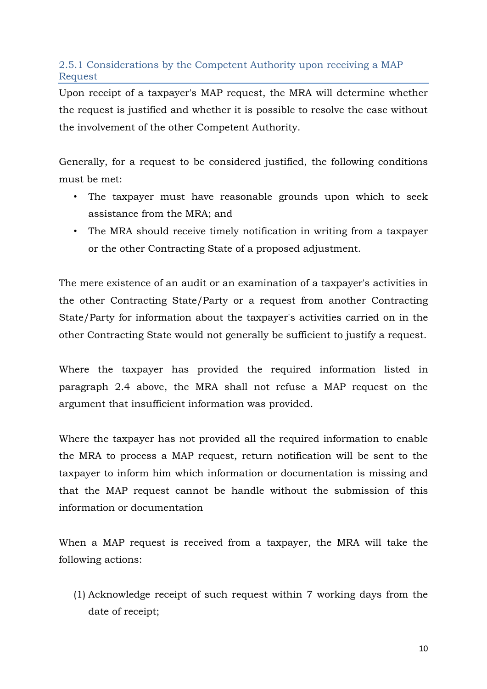## <span id="page-9-0"></span>2.5.1 Considerations by the Competent Authority upon receiving a MAP Request

Upon receipt of a taxpayer's MAP request, the MRA will determine whether the request is justified and whether it is possible to resolve the case without the involvement of the other Competent Authority.

Generally, for a request to be considered justified, the following conditions must be met:

- The taxpayer must have reasonable grounds upon which to seek assistance from the MRA; and
- The MRA should receive timely notification in writing from a taxpayer or the other Contracting State of a proposed adjustment.

The mere existence of an audit or an examination of a taxpayer's activities in the other Contracting State/Party or a request from another Contracting State/Party for information about the taxpayer's activities carried on in the other Contracting State would not generally be sufficient to justify a request.

Where the taxpayer has provided the required information listed in paragraph 2.4 above, the MRA shall not refuse a MAP request on the argument that insufficient information was provided.

Where the taxpayer has not provided all the required information to enable the MRA to process a MAP request, return notification will be sent to the taxpayer to inform him which information or documentation is missing and that the MAP request cannot be handle without the submission of this information or documentation

When a MAP request is received from a taxpayer, the MRA will take the following actions:

(1) Acknowledge receipt of such request within 7 working days from the date of receipt;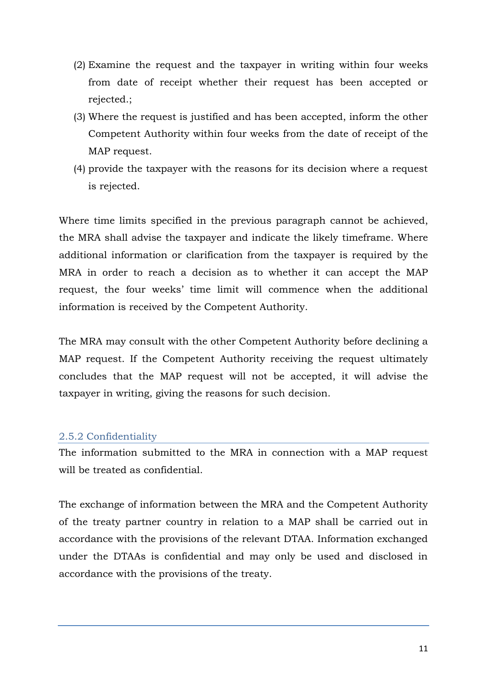- (2) Examine the request and the taxpayer in writing within four weeks from date of receipt whether their request has been accepted or rejected.;
- (3) Where the request is justified and has been accepted, inform the other Competent Authority within four weeks from the date of receipt of the MAP request.
- (4) provide the taxpayer with the reasons for its decision where a request is rejected.

Where time limits specified in the previous paragraph cannot be achieved, the MRA shall advise the taxpayer and indicate the likely timeframe. Where additional information or clarification from the taxpayer is required by the MRA in order to reach a decision as to whether it can accept the MAP request, the four weeks" time limit will commence when the additional information is received by the Competent Authority.

The MRA may consult with the other Competent Authority before declining a MAP request. If the Competent Authority receiving the request ultimately concludes that the MAP request will not be accepted, it will advise the taxpayer in writing, giving the reasons for such decision.

#### <span id="page-10-0"></span>2.5.2 Confidentiality

The information submitted to the MRA in connection with a MAP request will be treated as confidential.

The exchange of information between the MRA and the Competent Authority of the treaty partner country in relation to a MAP shall be carried out in accordance with the provisions of the relevant DTAA. Information exchanged under the DTAAs is confidential and may only be used and disclosed in accordance with the provisions of the treaty.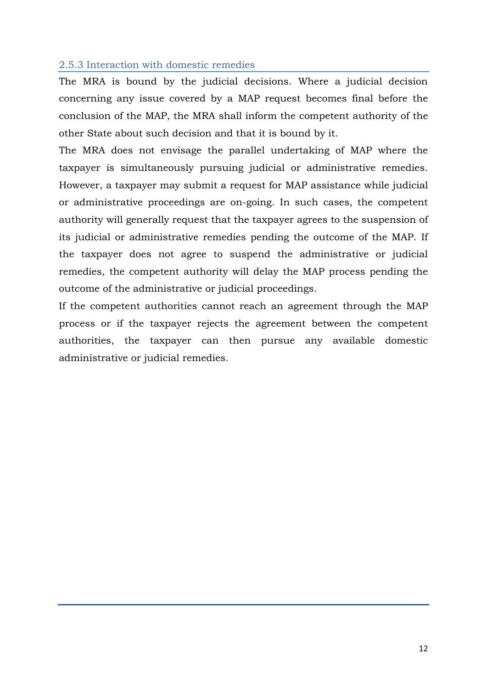### <span id="page-11-0"></span>2.5.3 Interaction with domestic remedies

The MRA is bound by the judicial decisions. Where a judicial decision concerning any issue covered by a MAP request becomes final before the conclusion of the MAP, the MRA shall inform the competent authority of the other State about such decision and that it is bound by it.

The MRA does not envisage the parallel undertaking of MAP where the taxpayer is simultaneously pursuing judicial or administrative remedies. However, a taxpayer may submit a request for MAP assistance while judicial or administrative proceedings are on-going. In such cases, the competent authority will generally request that the taxpayer agrees to the suspension of its judicial or administrative remedies pending the outcome of the MAP. If the taxpayer does not agree to suspend the administrative or judicial remedies, the competent authority will delay the MAP process pending the outcome of the administrative or judicial proceedings.

If the competent authorities cannot reach an agreement through the MAP process or if the taxpayer rejects the agreement between the competent authorities, the taxpayer can then pursue any available domestic administrative or judicial remedies.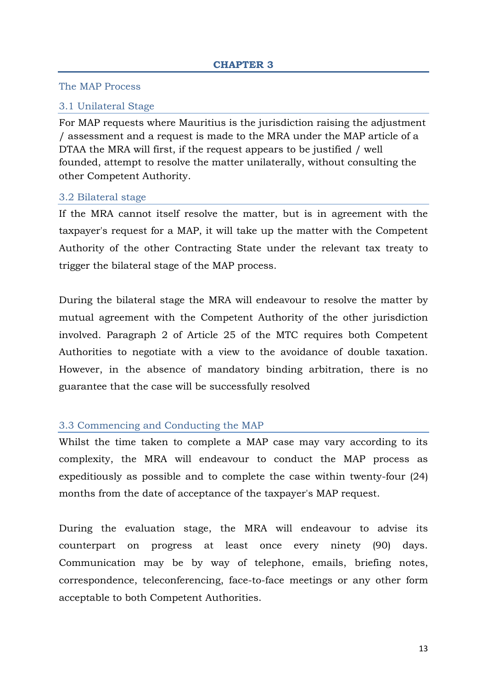#### <span id="page-12-1"></span><span id="page-12-0"></span>The MAP Process

#### <span id="page-12-2"></span>3.1 Unilateral Stage

For MAP requests where Mauritius is the jurisdiction raising the adjustment / assessment and a request is made to the MRA under the MAP article of a DTAA the MRA will first, if the request appears to be justified / well founded, attempt to resolve the matter unilaterally, without consulting the other Competent Authority.

#### <span id="page-12-3"></span>3.2 Bilateral stage

If the MRA cannot itself resolve the matter, but is in agreement with the taxpayer's request for a MAP, it will take up the matter with the Competent Authority of the other Contracting State under the relevant tax treaty to trigger the bilateral stage of the MAP process.

During the bilateral stage the MRA will endeavour to resolve the matter by mutual agreement with the Competent Authority of the other jurisdiction involved. Paragraph 2 of Article 25 of the MTC requires both Competent Authorities to negotiate with a view to the avoidance of double taxation. However, in the absence of mandatory binding arbitration, there is no guarantee that the case will be successfully resolved

#### <span id="page-12-4"></span>3.3 Commencing and Conducting the MAP

Whilst the time taken to complete a MAP case may vary according to its complexity, the MRA will endeavour to conduct the MAP process as expeditiously as possible and to complete the case within twenty-four (24) months from the date of acceptance of the taxpayer's MAP request.

During the evaluation stage, the MRA will endeavour to advise its counterpart on progress at least once every ninety (90) days. Communication may be by way of telephone, emails, briefing notes, correspondence, teleconferencing, face-to-face meetings or any other form acceptable to both Competent Authorities.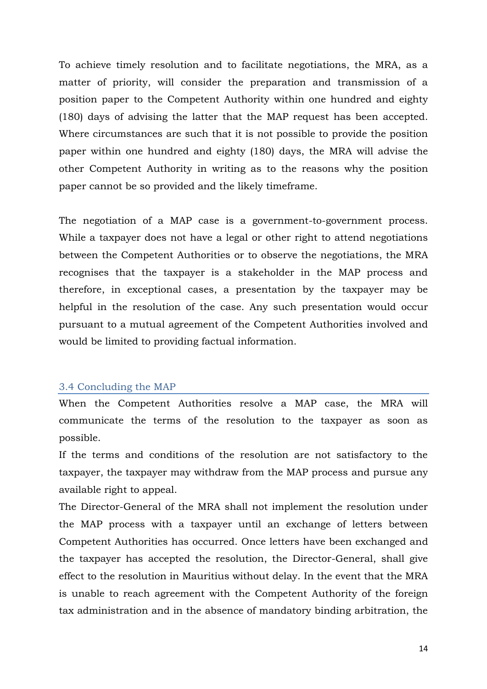To achieve timely resolution and to facilitate negotiations, the MRA, as a matter of priority, will consider the preparation and transmission of a position paper to the Competent Authority within one hundred and eighty (180) days of advising the latter that the MAP request has been accepted. Where circumstances are such that it is not possible to provide the position paper within one hundred and eighty (180) days, the MRA will advise the other Competent Authority in writing as to the reasons why the position paper cannot be so provided and the likely timeframe.

The negotiation of a MAP case is a government-to-government process. While a taxpayer does not have a legal or other right to attend negotiations between the Competent Authorities or to observe the negotiations, the MRA recognises that the taxpayer is a stakeholder in the MAP process and therefore, in exceptional cases, a presentation by the taxpayer may be helpful in the resolution of the case. Any such presentation would occur pursuant to a mutual agreement of the Competent Authorities involved and would be limited to providing factual information.

#### <span id="page-13-0"></span>3.4 Concluding the MAP

When the Competent Authorities resolve a MAP case, the MRA will communicate the terms of the resolution to the taxpayer as soon as possible.

If the terms and conditions of the resolution are not satisfactory to the taxpayer, the taxpayer may withdraw from the MAP process and pursue any available right to appeal.

The Director-General of the MRA shall not implement the resolution under the MAP process with a taxpayer until an exchange of letters between Competent Authorities has occurred. Once letters have been exchanged and the taxpayer has accepted the resolution, the Director-General, shall give effect to the resolution in Mauritius without delay. In the event that the MRA is unable to reach agreement with the Competent Authority of the foreign tax administration and in the absence of mandatory binding arbitration, the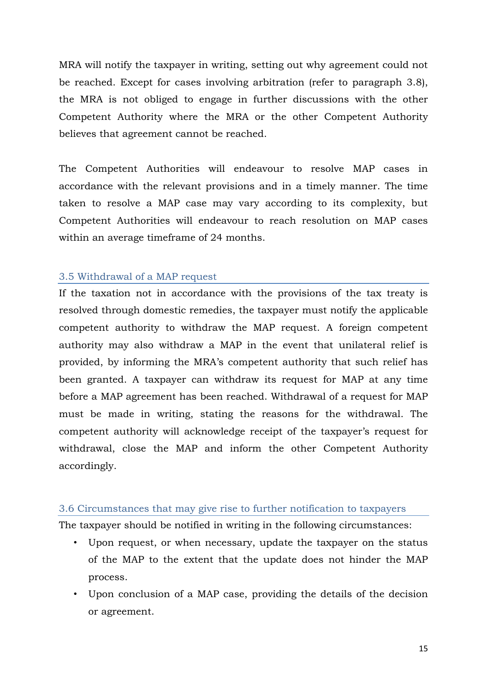MRA will notify the taxpayer in writing, setting out why agreement could not be reached. Except for cases involving arbitration (refer to paragraph 3.8), the MRA is not obliged to engage in further discussions with the other Competent Authority where the MRA or the other Competent Authority believes that agreement cannot be reached.

The Competent Authorities will endeavour to resolve MAP cases in accordance with the relevant provisions and in a timely manner. The time taken to resolve a MAP case may vary according to its complexity, but Competent Authorities will endeavour to reach resolution on MAP cases within an average timeframe of 24 months.

#### <span id="page-14-0"></span>3.5 Withdrawal of a MAP request

If the taxation not in accordance with the provisions of the tax treaty is resolved through domestic remedies, the taxpayer must notify the applicable competent authority to withdraw the MAP request. A foreign competent authority may also withdraw a MAP in the event that unilateral relief is provided, by informing the MRA"s competent authority that such relief has been granted. A taxpayer can withdraw its request for MAP at any time before a MAP agreement has been reached. Withdrawal of a request for MAP must be made in writing, stating the reasons for the withdrawal. The competent authority will acknowledge receipt of the taxpayer"s request for withdrawal, close the MAP and inform the other Competent Authority accordingly.

#### <span id="page-14-1"></span>3.6 Circumstances that may give rise to further notification to taxpayers

The taxpayer should be notified in writing in the following circumstances:

- Upon request, or when necessary, update the taxpayer on the status of the MAP to the extent that the update does not hinder the MAP process.
- Upon conclusion of a MAP case, providing the details of the decision or agreement.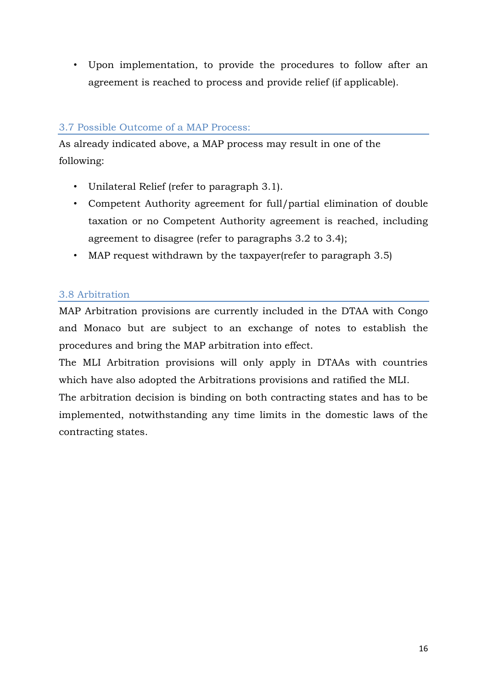• Upon implementation, to provide the procedures to follow after an agreement is reached to process and provide relief (if applicable).

## <span id="page-15-0"></span>3.7 Possible Outcome of a MAP Process:

As already indicated above, a MAP process may result in one of the following:

- Unilateral Relief (refer to paragraph 3.1).
- Competent Authority agreement for full/partial elimination of double taxation or no Competent Authority agreement is reached, including agreement to disagree (refer to paragraphs 3.2 to 3.4);
- MAP request withdrawn by the taxpayer (refer to paragraph 3.5)

## <span id="page-15-1"></span>3.8 Arbitration

MAP Arbitration provisions are currently included in the DTAA with Congo and Monaco but are subject to an exchange of notes to establish the procedures and bring the MAP arbitration into effect.

The MLI Arbitration provisions will only apply in DTAAs with countries which have also adopted the Arbitrations provisions and ratified the MLI.

The arbitration decision is binding on both contracting states and has to be implemented, notwithstanding any time limits in the domestic laws of the contracting states.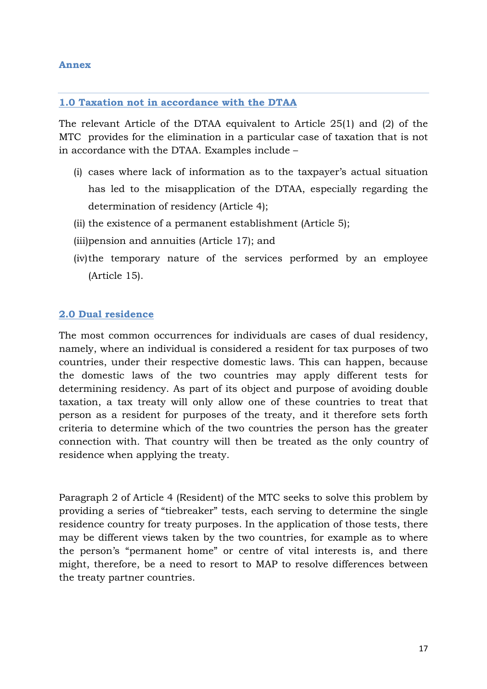### **1.0 Taxation not in accordance with the DTAA**

The relevant Article of the DTAA equivalent to Article 25(1) and (2) of the MTC provides for the elimination in a particular case of taxation that is not in accordance with the DTAA. Examples include –

- (i) cases where lack of information as to the taxpayer"s actual situation has led to the misapplication of the DTAA, especially regarding the determination of residency (Article 4);
- (ii) the existence of a permanent establishment (Article 5);
- (iii)pension and annuities (Article 17); and
- (iv)the temporary nature of the services performed by an employee (Article 15).

#### **2.0 Dual residence**

The most common occurrences for individuals are cases of dual residency, namely, where an individual is considered a resident for tax purposes of two countries, under their respective domestic laws. This can happen, because the domestic laws of the two countries may apply different tests for determining residency. As part of its object and purpose of avoiding double taxation, a tax treaty will only allow one of these countries to treat that person as a resident for purposes of the treaty, and it therefore sets forth criteria to determine which of the two countries the person has the greater connection with. That country will then be treated as the only country of residence when applying the treaty.

Paragraph 2 of Article 4 (Resident) of the MTC seeks to solve this problem by providing a series of "tiebreaker" tests, each serving to determine the single residence country for treaty purposes. In the application of those tests, there may be different views taken by the two countries, for example as to where the person's "permanent home" or centre of vital interests is, and there might, therefore, be a need to resort to MAP to resolve differences between the treaty partner countries.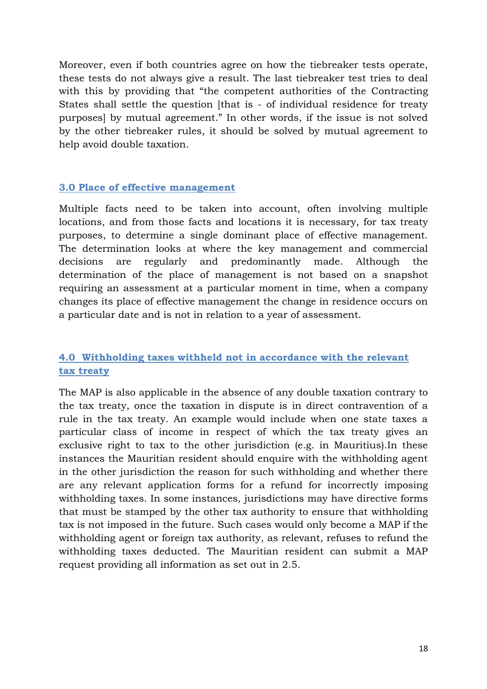Moreover, even if both countries agree on how the tiebreaker tests operate, these tests do not always give a result. The last tiebreaker test tries to deal with this by providing that "the competent authorities of the Contracting States shall settle the question [that is - of individual residence for treaty purposes] by mutual agreement." In other words, if the issue is not solved by the other tiebreaker rules, it should be solved by mutual agreement to help avoid double taxation.

### **3.0 Place of effective management**

Multiple facts need to be taken into account, often involving multiple locations, and from those facts and locations it is necessary, for tax treaty purposes, to determine a single dominant place of effective management. The determination looks at where the key management and commercial decisions are regularly and predominantly made. Although the determination of the place of management is not based on a snapshot requiring an assessment at a particular moment in time, when a company changes its place of effective management the change in residence occurs on a particular date and is not in relation to a year of assessment.

## **4.0 Withholding taxes withheld not in accordance with the relevant tax treaty**

The MAP is also applicable in the absence of any double taxation contrary to the tax treaty, once the taxation in dispute is in direct contravention of a rule in the tax treaty. An example would include when one state taxes a particular class of income in respect of which the tax treaty gives an exclusive right to tax to the other jurisdiction (e.g. in Mauritius).In these instances the Mauritian resident should enquire with the withholding agent in the other jurisdiction the reason for such withholding and whether there are any relevant application forms for a refund for incorrectly imposing withholding taxes. In some instances, jurisdictions may have directive forms that must be stamped by the other tax authority to ensure that withholding tax is not imposed in the future. Such cases would only become a MAP if the withholding agent or foreign tax authority, as relevant, refuses to refund the withholding taxes deducted. The Mauritian resident can submit a MAP request providing all information as set out in 2.5.